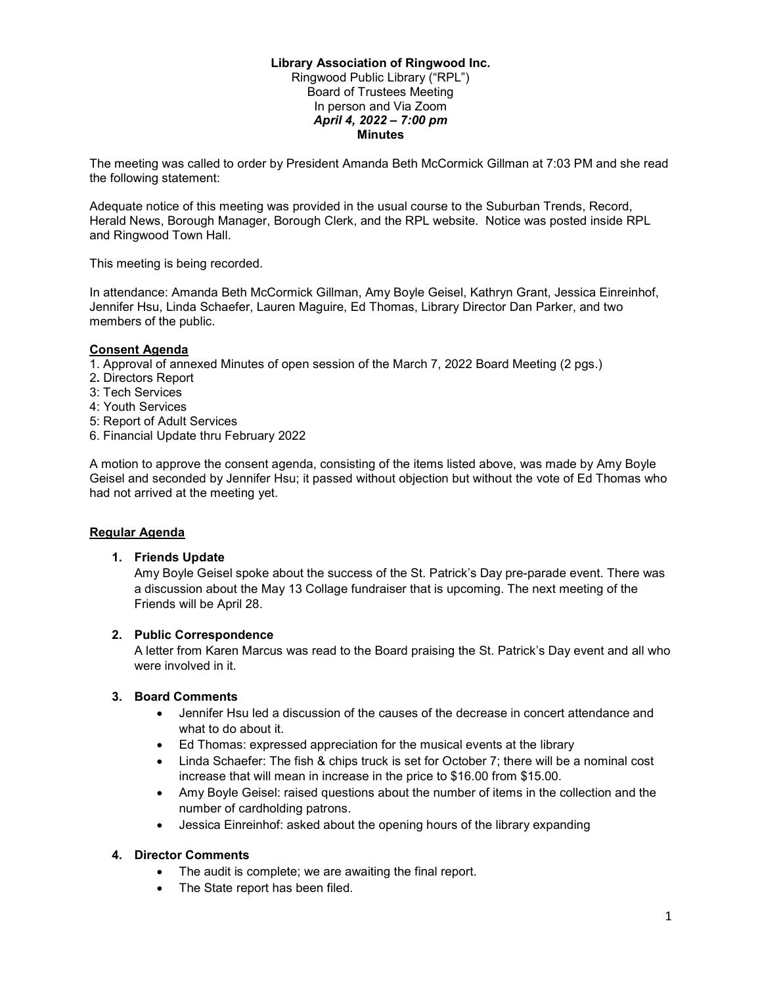### Library Association of Ringwood Inc.

Ringwood Public Library ("RPL") Board of Trustees Meeting In person and Via Zoom April 4, 2022 – 7:00 pm **Minutes** 

The meeting was called to order by President Amanda Beth McCormick Gillman at 7:03 PM and she read the following statement:

Adequate notice of this meeting was provided in the usual course to the Suburban Trends, Record, Herald News, Borough Manager, Borough Clerk, and the RPL website. Notice was posted inside RPL and Ringwood Town Hall.

This meeting is being recorded.

In attendance: Amanda Beth McCormick Gillman, Amy Boyle Geisel, Kathryn Grant, Jessica Einreinhof, Jennifer Hsu, Linda Schaefer, Lauren Maguire, Ed Thomas, Library Director Dan Parker, and two members of the public.

### Consent Agenda

1. Approval of annexed Minutes of open session of the March 7, 2022 Board Meeting (2 pgs.)

- 2. Directors Report
- 3: Tech Services
- 4: Youth Services
- 5: Report of Adult Services
- 6. Financial Update thru February 2022

A motion to approve the consent agenda, consisting of the items listed above, was made by Amy Boyle Geisel and seconded by Jennifer Hsu; it passed without objection but without the vote of Ed Thomas who had not arrived at the meeting yet.

## Regular Agenda

1. Friends Update

Amy Boyle Geisel spoke about the success of the St. Patrick's Day pre-parade event. There was a discussion about the May 13 Collage fundraiser that is upcoming. The next meeting of the Friends will be April 28.

## 2. Public Correspondence

A letter from Karen Marcus was read to the Board praising the St. Patrick's Day event and all who were involved in it.

# 3. Board Comments

- Jennifer Hsu led a discussion of the causes of the decrease in concert attendance and what to do about it.
- Ed Thomas: expressed appreciation for the musical events at the library
- $\bullet$  Linda Schaefer: The fish & chips truck is set for October 7; there will be a nominal cost increase that will mean in increase in the price to \$16.00 from \$15.00.
- Amy Boyle Geisel: raised questions about the number of items in the collection and the number of cardholding patrons.
- Jessica Einreinhof: asked about the opening hours of the library expanding

## 4. Director Comments

- The audit is complete; we are awaiting the final report.
- The State report has been filed.